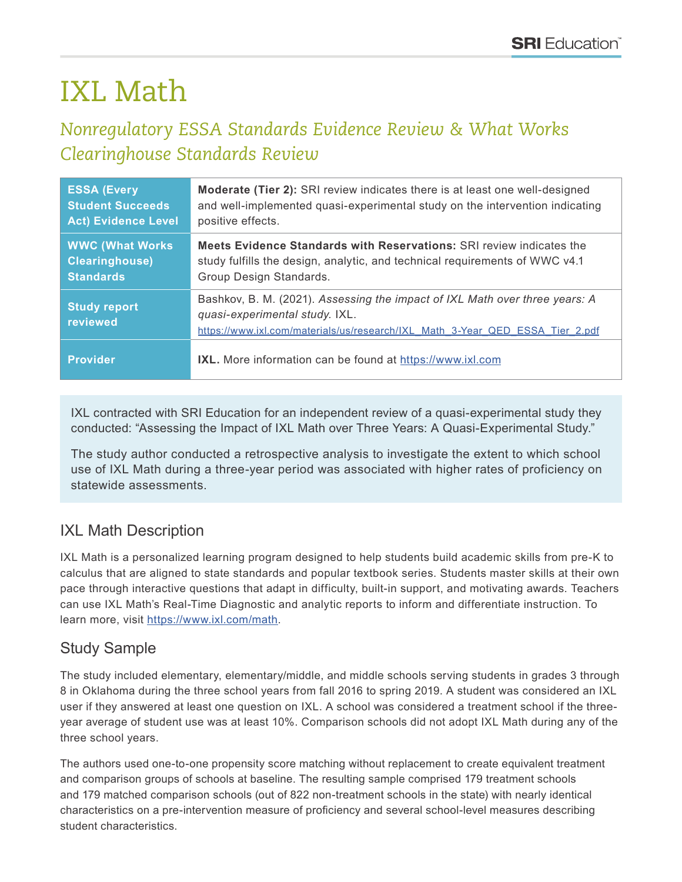# IXL Math

# *Nonregulatory ESSA Standards Evidence Review & What Works Clearinghouse Standards Review*

| <b>ESSA (Every</b>              | <b>Moderate (Tier 2):</b> SRI review indicates there is at least one well-designed                                                                                                             |
|---------------------------------|------------------------------------------------------------------------------------------------------------------------------------------------------------------------------------------------|
| <b>Student Succeeds</b>         | and well-implemented quasi-experimental study on the intervention indicating                                                                                                                   |
| <b>Act) Evidence Level</b>      | positive effects.                                                                                                                                                                              |
| <b>WWC (What Works)</b>         | <b>Meets Evidence Standards with Reservations: SRI review indicates the</b>                                                                                                                    |
| <b>Clearinghouse)</b>           | study fulfills the design, analytic, and technical requirements of WWC v4.1                                                                                                                    |
| <b>Standards</b>                | Group Design Standards.                                                                                                                                                                        |
| <b>Study report</b><br>reviewed | Bashkov, B. M. (2021). Assessing the impact of IXL Math over three years: A<br>quasi-experimental study. IXL.<br>https://www.ixl.com/materials/us/research/IXL Math 3-Year QED ESSA Tier 2.pdf |
| <b>Provider</b>                 | IXL. More information can be found at https://www.ixl.com                                                                                                                                      |

IXL contracted with SRI Education for an independent review of a quasi-experimental study they conducted: "Assessing the Impact of IXL Math over Three Years: A Quasi-Experimental Study."

The study author conducted a retrospective analysis to investigate the extent to which school use of IXL Math during a three-year period was associated with higher rates of proficiency on statewide assessments.

## IXL Math Description

IXL Math is a personalized learning program designed to help students build academic skills from pre-K to calculus that are aligned to state standards and popular textbook series. Students master skills at their own pace through interactive questions that adapt in difficulty, built-in support, and motivating awards. Teachers can use IXL Math's Real-Time Diagnostic and analytic reports to inform and differentiate instruction. To learn more, visit <https://www.ixl.com/math>.

# Study Sample

The study included elementary, elementary/middle, and middle schools serving students in grades 3 through 8 in Oklahoma during the three school years from fall 2016 to spring 2019. A student was considered an IXL user if they answered at least one question on IXL. A school was considered a treatment school if the threeyear average of student use was at least 10%. Comparison schools did not adopt IXL Math during any of the three school years.

The authors used one-to-one propensity score matching without replacement to create equivalent treatment and comparison groups of schools at baseline. The resulting sample comprised 179 treatment schools and 179 matched comparison schools (out of 822 non-treatment schools in the state) with nearly identical characteristics on a pre-intervention measure of proficiency and several school-level measures describing student characteristics.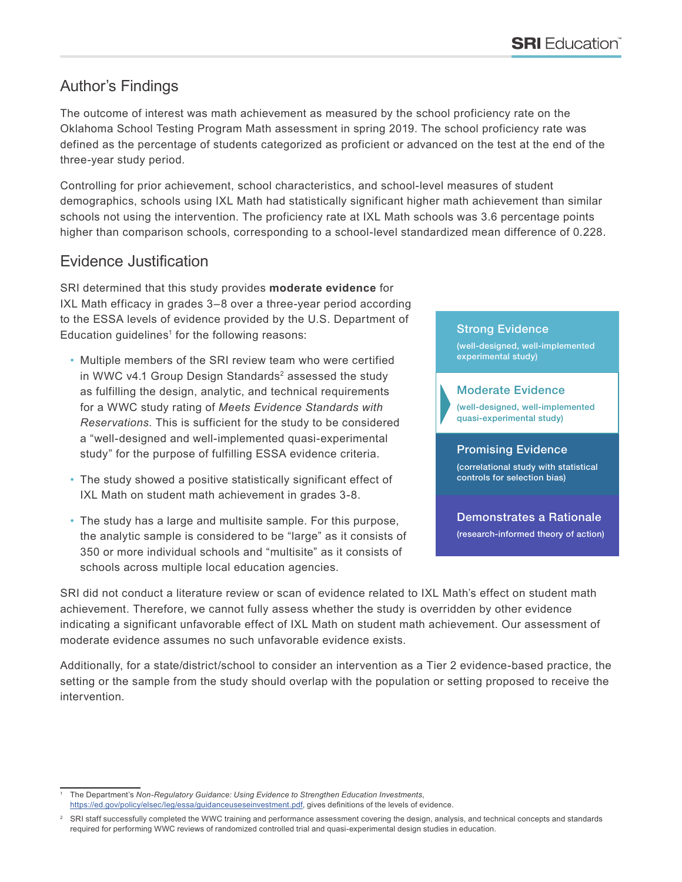## Author's Findings

The outcome of interest was math achievement as measured by the school proficiency rate on the Oklahoma School Testing Program Math assessment in spring 2019. The school proficiency rate was defined as the percentage of students categorized as proficient or advanced on the test at the end of the three-year study period.

Controlling for prior achievement, school characteristics, and school-level measures of student demographics, schools using IXL Math had statistically significant higher math achievement than similar schools not using the intervention. The proficiency rate at IXL Math schools was 3.6 percentage points higher than comparison schools, corresponding to a school-level standardized mean difference of 0.228.

### Evidence Justification

SRI determined that this study provides **moderate evidence** for IXL Math efficacy in grades 3–8 over a three-year period according to the ESSA levels of evidence provided by the U.S. Department of Education guidelines $1$  for the following reasons:

- Multiple members of the SRI review team who were certified in WWC v4.1 Group Design Standards<sup>2</sup> assessed the study as fulfilling the design, analytic, and technical requirements for a WWC study rating of *Meets Evidence Standards with Reservations*. This is sufficient for the study to be considered a "well-designed and well-implemented quasi-experimental study" for the purpose of fulfilling ESSA evidence criteria.
- The study showed a positive statistically significant effect of IXL Math on student math achievement in grades 3-8.
- The study has a large and multisite sample. For this purpose, the analytic sample is considered to be "large" as it consists of 350 or more individual schools and "multisite" as it consists of schools across multiple local education agencies.

#### Strong Evidence

(well-designed, well-implemented experimental study)

#### Moderate Evidence

(well-designed, well-implemented quasi-experimental study)

#### Promising Evidence

(correlational study with statistical controls for selection bias)

Demonstrates a Rationale (research-informed theory of action)

SRI did not conduct a literature review or scan of evidence related to IXL Math's effect on student math achievement. Therefore, we cannot fully assess whether the study is overridden by other evidence indicating a significant unfavorable effect of IXL Math on student math achievement. Our assessment of moderate evidence assumes no such unfavorable evidence exists.

Additionally, for a state/district/school to consider an intervention as a Tier 2 evidence-based practice, the setting or the sample from the study should overlap with the population or setting proposed to receive the intervention.

<sup>1</sup> The Department's *Non-Regulatory Guidance: Using Evidence to Strengthen Education Investments*, <https://ed.gov/policy/elsec/leg/essa/guidanceuseseinvestment.pdf>, gives definitions of the levels of evidence.

<sup>&</sup>lt;sup>2</sup> SRI staff successfully completed the WWC training and performance assessment covering the design, analysis, and technical concepts and standards required for performing WWC reviews of randomized controlled trial and quasi-experimental design studies in education.